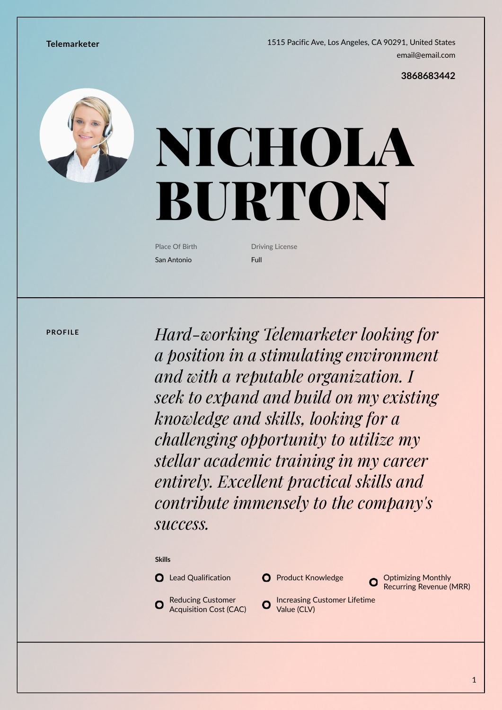**Telemarketer** 1515 Pacific Ave, Los Angeles, CA 90291, United States [email@email.com](mailto:email@email.com)

**[3868683442](callto:3868683442)**



# NICHOLA BURTON

Place Of Birth San Antonio

Driving License Full

**PROFILE** *Hard-working Telemarketer looking for a position in a stimulating environment and with a reputable organization. I seek to expand and build on my existing knowledge and skills, looking for a challenging opportunity to utilize my stellar academic training in my career entirely. Excellent practical skills and contribute immensely to the company's success.*

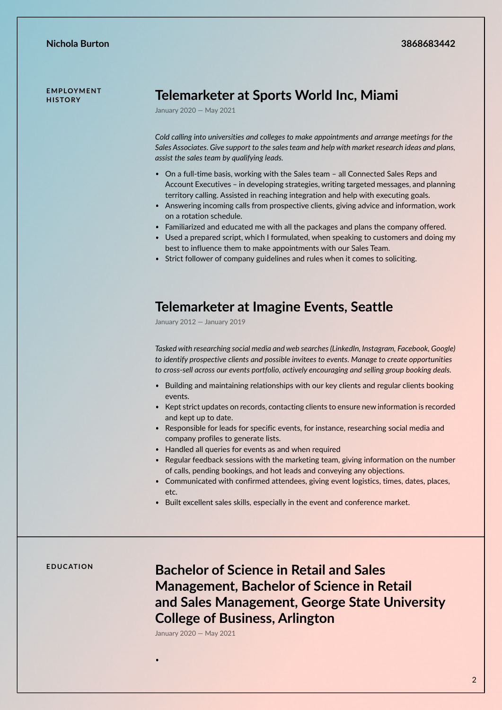**E M P LOY M E N T** 

### **HISTORY CONNEIL CONNEIL TREADULER TELEMPLOTMENT**

January 2020 — May 2021

*Cold calling into universities and colleges to make appointments and arrange meetings for the Sales Associates. Give support to the sales team and help with market research ideas and plans, assist the sales team by qualifying leads.*

- On a full-time basis, working with the Sales team all Connected Sales Reps and Account Executives – in developing strategies, writing targeted messages, and planning territory calling. Assisted in reaching integration and help with executing goals.
- Answering incoming calls from prospective clients, giving advice and information, work on a rotation schedule.
- Familiarized and educated me with all the packages and plans the company offered.
- Used a prepared script, which I formulated, when speaking to customers and doing my best to influence them to make appointments with our Sales Team.
- Strict follower of company guidelines and rules when it comes to soliciting.

#### **Telemarketer at Imagine Events, Seattle**

January 2012 — January 2019

*Tasked with researching social media and web searches (LinkedIn, Instagram, Facebook, Google) to identify prospective clients and possible invitees to events. Manage to create opportunities to cross-sell across our events portfolio, actively encouraging and selling group booking deals.*

- Building and maintaining relationships with our key clients and regular clients booking events.
- Kept strict updates on records, contacting clients to ensure new information is recorded and kept up to date.
- Responsible for leads for specific events, for instance, researching social media and company profiles to generate lists.
- Handled all queries for events as and when required
- Regular feedback sessions with the marketing team, giving information on the number of calls, pending bookings, and hot leads and conveying any objections.
- Communicated with confirmed attendees, giving event logistics, times, dates, places, etc.
- Built excellent sales skills, especially in the event and conference market.

## **E D U C AT I O N Bachelor of Science in Retail and Sales Management, Bachelor of Science in Retail and Sales Management, George State University College of Business, Arlington**

January 2020 — May 2021